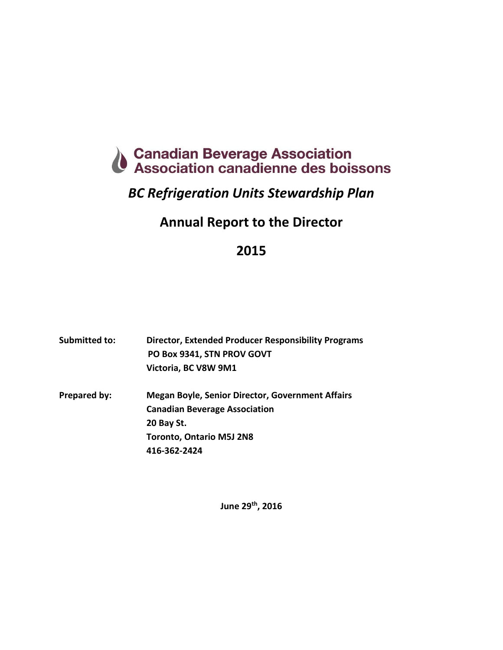

# *BC Refrigeration Units Stewardship Plan*

# **Annual Report to the Director**

## **2015**

| Submitted to: | <b>Director, Extended Producer Responsibility Programs</b> |  |  |
|---------------|------------------------------------------------------------|--|--|
|               | PO Box 9341, STN PROV GOVT                                 |  |  |
|               | Victoria, BC V8W 9M1                                       |  |  |
| Prepared by:  | <b>Megan Boyle, Senior Director, Government Affairs</b>    |  |  |
|               | <b>Canadian Beverage Association</b>                       |  |  |
|               | 20 Bay St.                                                 |  |  |
|               | <b>Toronto, Ontario M5J 2N8</b>                            |  |  |
|               | 416-362-2424                                               |  |  |

**June 29th , 2016**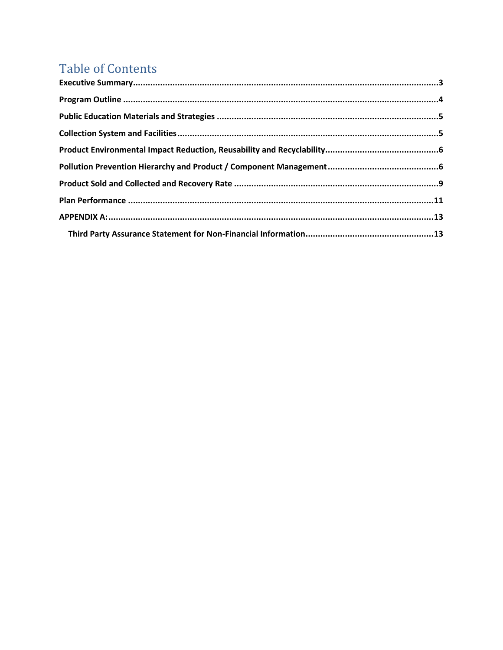# **Table of Contents**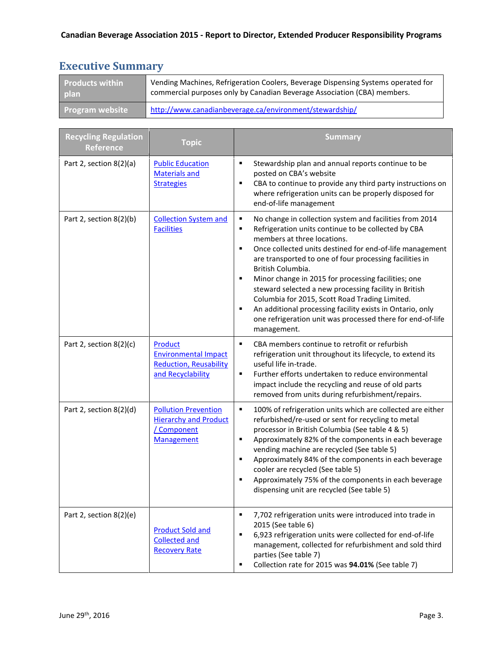## <span id="page-2-0"></span>**Executive Summary**

| Products within        | Vending Machines, Refrigeration Coolers, Beverage Dispensing Systems operated for |
|------------------------|-----------------------------------------------------------------------------------|
| plan                   | commercial purposes only by Canadian Beverage Association (CBA) members.          |
| <b>Program website</b> | http://www.canadianbeverage.ca/environment/stewardship/                           |

| <b>Recycling Regulation</b><br><b>Reference</b> | <b>Topic</b>                                                                                    | <b>Summary</b>                                                                                                                                                                                                                                                                                                                                                                                                                                                                                                                                                                                                                              |
|-------------------------------------------------|-------------------------------------------------------------------------------------------------|---------------------------------------------------------------------------------------------------------------------------------------------------------------------------------------------------------------------------------------------------------------------------------------------------------------------------------------------------------------------------------------------------------------------------------------------------------------------------------------------------------------------------------------------------------------------------------------------------------------------------------------------|
| Part 2, section 8(2)(a)                         | <b>Public Education</b><br><b>Materials and</b><br><b>Strategies</b>                            | $\blacksquare$<br>Stewardship plan and annual reports continue to be<br>posted on CBA's website<br>CBA to continue to provide any third party instructions on<br>٠<br>where refrigeration units can be properly disposed for<br>end-of-life management                                                                                                                                                                                                                                                                                                                                                                                      |
| Part 2, section 8(2)(b)                         | <b>Collection System and</b><br><b>Facilities</b>                                               | No change in collection system and facilities from 2014<br>٠<br>Refrigeration units continue to be collected by CBA<br>٠<br>members at three locations.<br>$\blacksquare$<br>Once collected units destined for end-of-life management<br>are transported to one of four processing facilities in<br>British Columbia.<br>Minor change in 2015 for processing facilities; one<br>٠<br>steward selected a new processing facility in British<br>Columbia for 2015, Scott Road Trading Limited.<br>An additional processing facility exists in Ontario, only<br>٠<br>one refrigeration unit was processed there for end-of-life<br>management. |
| Part 2, section $8(2)(c)$                       | Product<br><b>Environmental Impact</b><br><b>Reduction, Reusability</b><br>and Recyclability    | CBA members continue to retrofit or refurbish<br>$\blacksquare$<br>refrigeration unit throughout its lifecycle, to extend its<br>useful life in-trade.<br>Further efforts undertaken to reduce environmental<br>$\blacksquare$<br>impact include the recycling and reuse of old parts<br>removed from units during refurbishment/repairs.                                                                                                                                                                                                                                                                                                   |
| Part 2, section 8(2)(d)                         | <b>Pollution Prevention</b><br><b>Hierarchy and Product</b><br>/ Component<br><b>Management</b> | ٠<br>100% of refrigeration units which are collected are either<br>refurbished/re-used or sent for recycling to metal<br>processor in British Columbia (See table 4 & 5)<br>Approximately 82% of the components in each beverage<br>٠<br>vending machine are recycled (See table 5)<br>Approximately 84% of the components in each beverage<br>٠<br>cooler are recycled (See table 5)<br>Approximately 75% of the components in each beverage<br>$\blacksquare$<br>dispensing unit are recycled (See table 5)                                                                                                                               |
| Part 2, section 8(2)(e)                         | <b>Product Sold and</b><br><b>Collected and</b><br><b>Recovery Rate</b>                         | 7,702 refrigeration units were introduced into trade in<br>٠<br>2015 (See table 6)<br>6,923 refrigeration units were collected for end-of-life<br>٠<br>management, collected for refurbishment and sold third<br>parties (See table 7)<br>Collection rate for 2015 was 94.01% (See table 7)<br>٠                                                                                                                                                                                                                                                                                                                                            |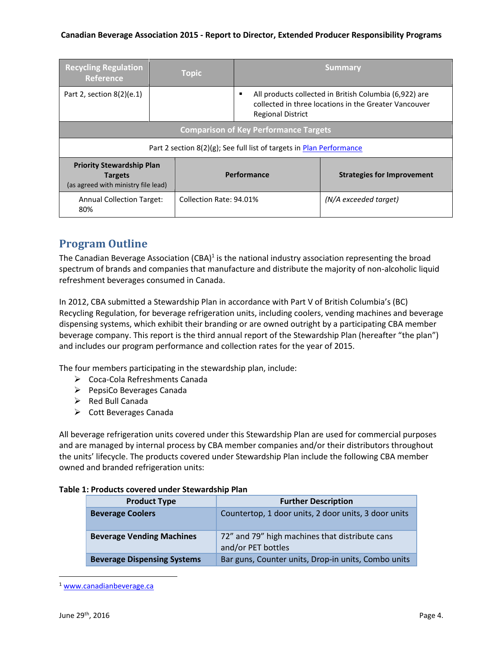#### **Canadian Beverage Association 2015 - Report to Director, Extended Producer Responsibility Programs**

| <b>Recycling Regulation</b><br><b>Reference</b>                                           |                                                                      | <b>Topic</b>                                                                                                                                |                                              | <b>Summary</b>        |
|-------------------------------------------------------------------------------------------|----------------------------------------------------------------------|---------------------------------------------------------------------------------------------------------------------------------------------|----------------------------------------------|-----------------------|
| Part 2, section $8(2)(e.1)$                                                               |                                                                      | All products collected in British Columbia (6,922) are<br>collected in three locations in the Greater Vancouver<br><b>Regional District</b> |                                              |                       |
|                                                                                           |                                                                      |                                                                                                                                             | <b>Comparison of Key Performance Targets</b> |                       |
|                                                                                           | Part 2 section 8(2)(g); See full list of targets in Plan Performance |                                                                                                                                             |                                              |                       |
| <b>Priority Stewardship Plan</b><br><b>Targets</b><br>(as agreed with ministry file lead) |                                                                      | Performance                                                                                                                                 | <b>Strategies for Improvement</b>            |                       |
| <b>Annual Collection Target:</b><br>80%                                                   |                                                                      | Collection Rate: 94.01%                                                                                                                     |                                              | (N/A exceeded target) |

## <span id="page-3-0"></span>**Program Outline**

The Canadian Beverage Association (CBA)<sup>1</sup> is the national industry association representing the broad spectrum of brands and companies that manufacture and distribute the majority of non-alcoholic liquid refreshment beverages consumed in Canada.

In 2012, CBA submitted a Stewardship Plan in accordance with Part V of British Columbia's (BC) Recycling Regulation, for beverage refrigeration units, including coolers, vending machines and beverage dispensing systems, which exhibit their branding or are owned outright by a participating CBA member beverage company. This report is the third annual report of the Stewardship Plan (hereafter "the plan") and includes our program performance and collection rates for the year of 2015.

The four members participating in the stewardship plan, include:

- Coca-Cola Refreshments Canada
- $\triangleright$  PepsiCo Beverages Canada
- $\triangleright$  Red Bull Canada
- $\triangleright$  Cott Beverages Canada

All beverage refrigeration units covered under this Stewardship Plan are used for commercial purposes and are managed by internal process by CBA member companies and/or their distributors throughout the units' lifecycle. The products covered under Stewardship Plan include the following CBA member owned and branded refrigeration units:

|                     | E I. Products covered under Stewardship Pian |                                                                      |  |
|---------------------|----------------------------------------------|----------------------------------------------------------------------|--|
| <b>Product Type</b> |                                              | <b>Further Description</b>                                           |  |
|                     | <b>Beverage Coolers</b>                      | Countertop, 1 door units, 2 door units, 3 door units                 |  |
|                     | <b>Beverage Vending Machines</b>             | 72" and 79" high machines that distribute cans<br>and/or PET bottles |  |
|                     | <b>Beverage Dispensing Systems</b>           | Bar guns, Counter units, Drop-in units, Combo units                  |  |

#### **Table 1: Products covered under Stewardship Plan**

 $\overline{\phantom{a}}$ 

<sup>1</sup> [www.canadianbeverage.ca](http://www.canadianbeverage.ca/)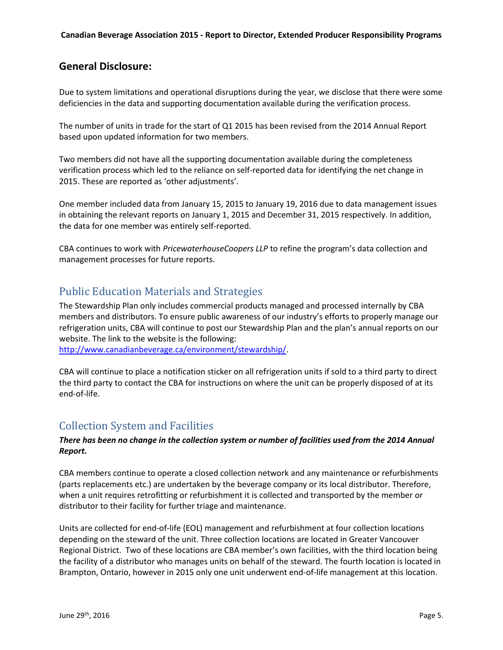### **General Disclosure:**

Due to system limitations and operational disruptions during the year, we disclose that there were some deficiencies in the data and supporting documentation available during the verification process.

The number of units in trade for the start of Q1 2015 has been revised from the 2014 Annual Report based upon updated information for two members.

Two members did not have all the supporting documentation available during the completeness verification process which led to the reliance on self-reported data for identifying the net change in 2015. These are reported as 'other adjustments'.

One member included data from January 15, 2015 to January 19, 2016 due to data management issues in obtaining the relevant reports on January 1, 2015 and December 31, 2015 respectively. In addition, the data for one member was entirely self-reported.

CBA continues to work with *PricewaterhouseCoopers LLP* to refine the program's data collection and management processes for future reports.

## <span id="page-4-0"></span>Public Education Materials and Strategies

The Stewardship Plan only includes commercial products managed and processed internally by CBA members and distributors. To ensure public awareness of our industry's efforts to properly manage our refrigeration units, CBA will continue to post our Stewardship Plan and the plan's annual reports on our website. The link to the website is the following:

[http://www.canadianbeverage.ca/environment/stewardship/.](http://www.canadianbeverage.ca/environment/stewardship/)

CBA will continue to place a notification sticker on all refrigeration units if sold to a third party to direct the third party to contact the CBA for instructions on where the unit can be properly disposed of at its end-of-life.

## <span id="page-4-1"></span>Collection System and Facilities

#### *There has been no change in the collection system or number of facilities used from the 2014 Annual Report.*

CBA members continue to operate a closed collection network and any maintenance or refurbishments (parts replacements etc.) are undertaken by the beverage company or its local distributor. Therefore, when a unit requires retrofitting or refurbishment it is collected and transported by the member or distributor to their facility for further triage and maintenance.

Units are collected for end-of-life (EOL) management and refurbishment at four collection locations depending on the steward of the unit. Three collection locations are located in Greater Vancouver Regional District. Two of these locations are CBA member's own facilities, with the third location being the facility of a distributor who manages units on behalf of the steward. The fourth location is located in Brampton, Ontario, however in 2015 only one unit underwent end-of-life management at this location.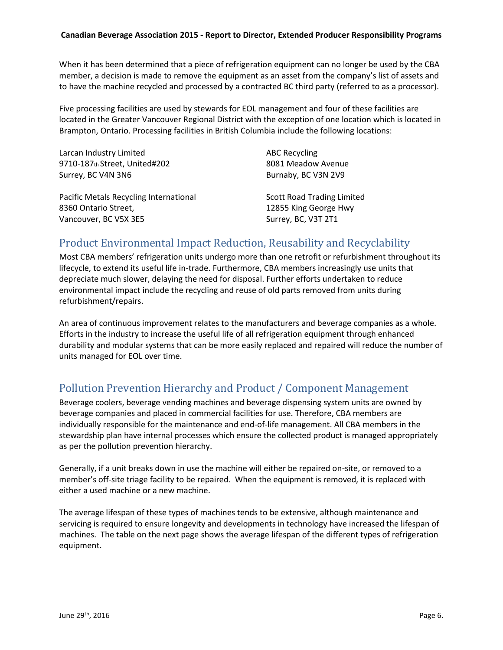#### **Canadian Beverage Association 2015 - Report to Director, Extended Producer Responsibility Programs**

When it has been determined that a piece of refrigeration equipment can no longer be used by the CBA member, a decision is made to remove the equipment as an asset from the company's list of assets and to have the machine recycled and processed by a contracted BC third party (referred to as a processor).

Five processing facilities are used by stewards for EOL management and four of these facilities are located in the Greater Vancouver Regional District with the exception of one location which is located in Brampton, Ontario. Processing facilities in British Columbia include the following locations:

| Larcan Industry Limited                | <b>ABC Recycling</b>              |
|----------------------------------------|-----------------------------------|
| 9710-187th Street, United#202          | 8081 Meadow Avenue                |
| Surrey, BC V4N 3N6                     | Burnaby, BC V3N 2V9               |
|                                        |                                   |
| Pacific Metals Recycling International | <b>Scott Road Trading Limited</b> |
| 8360 Ontario Street,                   | 12855 King George Hwy             |
|                                        |                                   |

## <span id="page-5-0"></span>Product Environmental Impact Reduction, Reusability and Recyclability

Most CBA members' refrigeration units undergo more than one retrofit or refurbishment throughout its lifecycle, to extend its useful life in-trade. Furthermore, CBA members increasingly use units that depreciate much slower, delaying the need for disposal. Further efforts undertaken to reduce environmental impact include the recycling and reuse of old parts removed from units during refurbishment/repairs.

An area of continuous improvement relates to the manufacturers and beverage companies as a whole. Efforts in the industry to increase the useful life of all refrigeration equipment through enhanced durability and modular systems that can be more easily replaced and repaired will reduce the number of units managed for EOL over time.

## <span id="page-5-1"></span>Pollution Prevention Hierarchy and Product / Component Management

Beverage coolers, beverage vending machines and beverage dispensing system units are owned by beverage companies and placed in commercial facilities for use. Therefore, CBA members are individually responsible for the maintenance and end-of-life management. All CBA members in the stewardship plan have internal processes which ensure the collected product is managed appropriately as per the pollution prevention hierarchy.

Generally, if a unit breaks down in use the machine will either be repaired on-site, or removed to a member's off-site triage facility to be repaired. When the equipment is removed, it is replaced with either a used machine or a new machine.

The average lifespan of these types of machines tends to be extensive, although maintenance and servicing is required to ensure longevity and developments in technology have increased the lifespan of machines. The table on the next page shows the average lifespan of the different types of refrigeration equipment.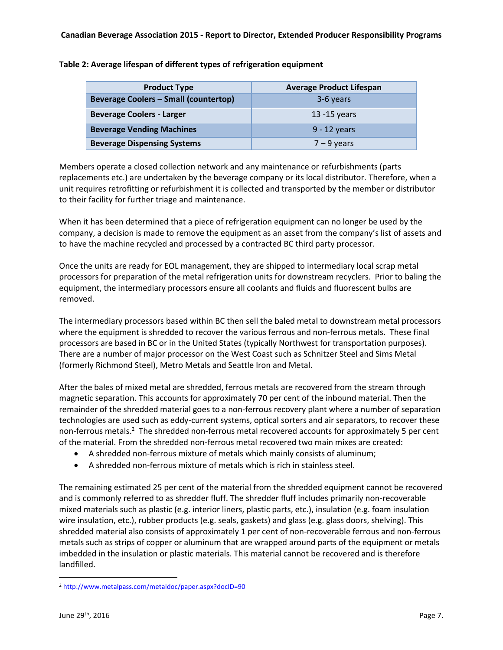| <b>Product Type</b>                          | <b>Average Product Lifespan</b> |
|----------------------------------------------|---------------------------------|
| <b>Beverage Coolers - Small (countertop)</b> | 3-6 years                       |
| <b>Beverage Coolers - Larger</b>             | $13 - 15$ years                 |
| <b>Beverage Vending Machines</b>             | $9 - 12$ years                  |
| <b>Beverage Dispensing Systems</b>           | $7 - 9$ years                   |

Members operate a closed collection network and any maintenance or refurbishments (parts replacements etc.) are undertaken by the beverage company or its local distributor. Therefore, when a unit requires retrofitting or refurbishment it is collected and transported by the member or distributor to their facility for further triage and maintenance.

When it has been determined that a piece of refrigeration equipment can no longer be used by the company, a decision is made to remove the equipment as an asset from the company's list of assets and to have the machine recycled and processed by a contracted BC third party processor.

Once the units are ready for EOL management, they are shipped to intermediary local scrap metal processors for preparation of the metal refrigeration units for downstream recyclers. Prior to baling the equipment, the intermediary processors ensure all coolants and fluids and fluorescent bulbs are removed.

The intermediary processors based within BC then sell the baled metal to downstream metal processors where the equipment is shredded to recover the various ferrous and non-ferrous metals. These final processors are based in BC or in the United States (typically Northwest for transportation purposes). There are a number of major processor on the West Coast such as Schnitzer Steel and Sims Metal (formerly Richmond Steel), Metro Metals and Seattle Iron and Metal.

After the bales of mixed metal are shredded, ferrous metals are recovered from the stream through magnetic separation. This accounts for approximately 70 per cent of the inbound material. Then the remainder of the shredded material goes to a non-ferrous recovery plant where a number of separation technologies are used such as eddy-current systems, optical sorters and air separators, to recover these non-ferrous metals.<sup>2</sup> The shredded non-ferrous metal recovered accounts for approximately 5 per cent of the material. From the shredded non-ferrous metal recovered two main mixes are created:

- A shredded non-ferrous mixture of metals which mainly consists of aluminum;
- A shredded non-ferrous mixture of metals which is rich in stainless steel.

The remaining estimated 25 per cent of the material from the shredded equipment cannot be recovered and is commonly referred to as shredder fluff. The shredder fluff includes primarily non-recoverable mixed materials such as plastic (e.g. interior liners, plastic parts, etc.), insulation (e.g. foam insulation wire insulation, etc.), rubber products (e.g. seals, gaskets) and glass (e.g. glass doors, shelving). This shredded material also consists of approximately 1 per cent of non-recoverable ferrous and non-ferrous metals such as strips of copper or aluminum that are wrapped around parts of the equipment or metals imbedded in the insulation or plastic materials. This material cannot be recovered and is therefore landfilled.

 $\overline{a}$ 

<sup>2</sup> <http://www.metalpass.com/metaldoc/paper.aspx?docID=90>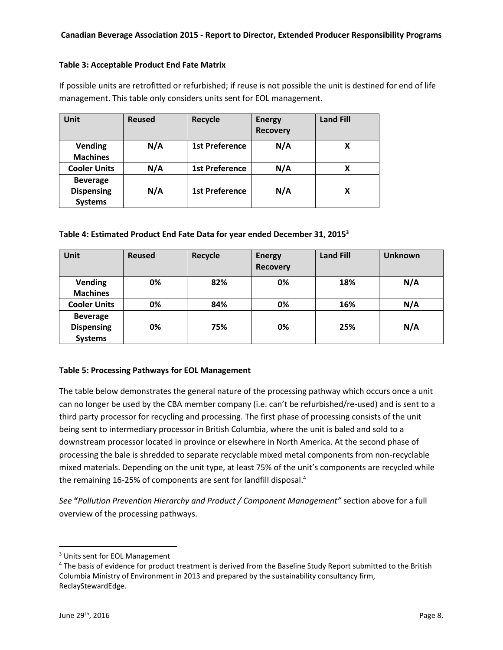#### **Table 3: Acceptable Product End Fate Matrix**

If possible units are retrofitted or refurbished; if reuse is not possible the unit is destined for end of life management. This table only considers units sent for EOL management.

| <b>Unit</b>                                            | <b>Reused</b> | <b>Recycle</b>        | <b>Energy</b><br><b>Recovery</b> | <b>Land Fill</b> |
|--------------------------------------------------------|---------------|-----------------------|----------------------------------|------------------|
| <b>Vending</b><br><b>Machines</b>                      | N/A           | <b>1st Preference</b> | N/A                              | X                |
| <b>Cooler Units</b>                                    | N/A           | <b>1st Preference</b> | N/A                              | X                |
| <b>Beverage</b><br><b>Dispensing</b><br><b>Systems</b> | N/A           | <b>1st Preference</b> | N/A                              | X                |

#### **Table 4: Estimated Product End Fate Data for year ended December 31, 2015<sup>3</sup>**

| Unit                                                   | <b>Reused</b> | Recycle | <b>Energy</b><br><b>Recovery</b> | <b>Land Fill</b> | <b>Unknown</b> |
|--------------------------------------------------------|---------------|---------|----------------------------------|------------------|----------------|
| <b>Vending</b><br><b>Machines</b>                      | 0%            | 82%     | 0%                               | 18%              | N/A            |
| <b>Cooler Units</b>                                    | 0%            | 84%     | 0%                               | 16%              | N/A            |
| <b>Beverage</b><br><b>Dispensing</b><br><b>Systems</b> | 0%            | 75%     | 0%                               | 25%              | N/A            |

#### **Table 5: Processing Pathways for EOL Management**

The table below demonstrates the general nature of the processing pathway which occurs once a unit can no longer be used by the CBA member company (i.e. can't be refurbished/re-used) and is sent to a third party processor for recycling and processing. The first phase of processing consists of the unit being sent to intermediary processor in British Columbia, where the unit is baled and sold to a downstream processor located in province or elsewhere in North America. At the second phase of processing the bale is shredded to separate recyclable mixed metal components from non-recyclable mixed materials. Depending on the unit type, at least 75% of the unit's components are recycled while the remaining 16-25% of components are sent for landfill disposal.<sup>4</sup>

*See* **"***Pollution Prevention Hierarchy and Product / Component Management"* section above for a full overview of the processing pathways.

 $\overline{a}$ 

<sup>3</sup> Units sent for EOL Management

<sup>&</sup>lt;sup>4</sup> The basis of evidence for product treatment is derived from the Baseline Study Report submitted to the British Columbia Ministry of Environment in 2013 and prepared by the sustainability consultancy firm, ReclayStewardEdge.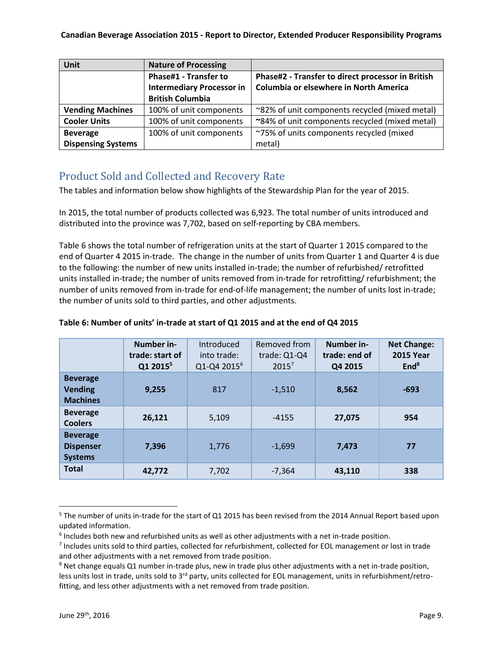| Unit                         | <b>Nature of Processing</b>      |                                                   |  |
|------------------------------|----------------------------------|---------------------------------------------------|--|
| <b>Phase#1 - Transfer to</b> |                                  | Phase#2 - Transfer to direct processor in British |  |
|                              | <b>Intermediary Processor in</b> | Columbia or elsewhere in North America            |  |
|                              | <b>British Columbia</b>          |                                                   |  |
| <b>Vending Machines</b>      | 100% of unit components          | ~82% of unit components recycled (mixed metal)    |  |
| <b>Cooler Units</b>          | 100% of unit components          | ~84% of unit components recycled (mixed metal)    |  |
| <b>Beverage</b>              | 100% of unit components          | ~75% of units components recycled (mixed          |  |
| <b>Dispensing Systems</b>    |                                  | metal)                                            |  |

## <span id="page-8-0"></span>Product Sold and Collected and Recovery Rate

The tables and information below show highlights of the Stewardship Plan for the year of 2015.

In 2015, the total number of products collected was 6,923. The total number of units introduced and distributed into the province was 7,702, based on self-reporting by CBA members.

Table 6 shows the total number of refrigeration units at the start of Quarter 1 2015 compared to the end of Quarter 4 2015 in-trade. The change in the number of units from Quarter 1 and Quarter 4 is due to the following: the number of new units installed in-trade; the number of refurbished/ retrofitted units installed in-trade; the number of units removed from in-trade for retrofitting/ refurbishment; the number of units removed from in-trade for end-of-life management; the number of units lost in-trade; the number of units sold to third parties, and other adjustments.

|                                                       | Number in-<br>trade: start of<br>Q1 2015 <sup>5</sup> | Introduced<br>into trade:<br>Q1-Q4 2015 <sup>6</sup> | Removed from<br>trade: Q1-Q4<br>$2015^7$ | Number in-<br>trade: end of<br>Q4 2015 | <b>Net Change:</b><br><b>2015 Year</b><br>End <sup>8</sup> |
|-------------------------------------------------------|-------------------------------------------------------|------------------------------------------------------|------------------------------------------|----------------------------------------|------------------------------------------------------------|
| <b>Beverage</b><br><b>Vending</b><br><b>Machines</b>  | 9,255                                                 | 817                                                  | $-1,510$                                 | 8,562                                  | $-693$                                                     |
| <b>Beverage</b><br><b>Coolers</b>                     | 26,121                                                | 5,109                                                | $-4155$                                  | 27.075                                 | 954                                                        |
| <b>Beverage</b><br><b>Dispenser</b><br><b>Systems</b> | 7,396                                                 | 1,776                                                | $-1,699$                                 | 7,473                                  | 77                                                         |
| <b>Total</b>                                          | 42,772                                                | 7,702                                                | $-7,364$                                 | 43,110                                 | 338                                                        |

#### **Table 6: Number of units' in-trade at start of Q1 2015 and at the end of Q4 2015**

 $\overline{\phantom{a}}$ 

<sup>&</sup>lt;sup>5</sup> The number of units in-trade for the start of Q1 2015 has been revised from the 2014 Annual Report based upon updated information.

<sup>&</sup>lt;sup>6</sup> Includes both new and refurbished units as well as other adjustments with a net in-trade position.

 $<sup>7</sup>$  Includes units sold to third parties, collected for refurbishment, collected for EOL management or lost in trade</sup> and other adjustments with a net removed from trade position.

<sup>&</sup>lt;sup>8</sup> Net change equals Q1 number in-trade plus, new in trade plus other adjustments with a net in-trade position, less units lost in trade, units sold to  $3^{rd}$  party, units collected for EOL management, units in refurbishment/retrofitting, and less other adjustments with a net removed from trade position.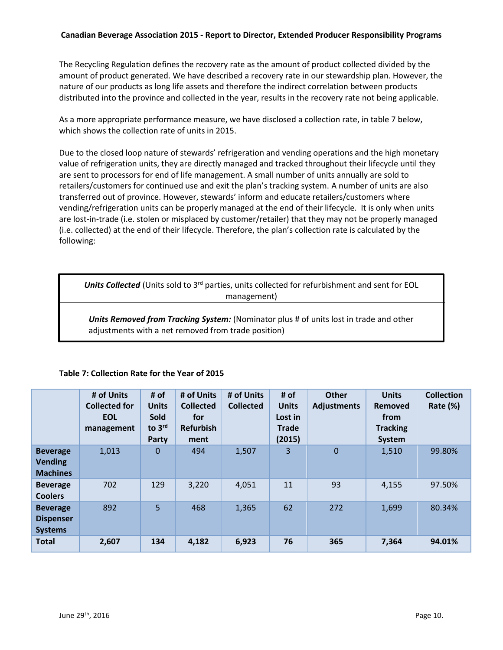#### **Canadian Beverage Association 2015 - Report to Director, Extended Producer Responsibility Programs**

The Recycling Regulation defines the recovery rate as the amount of product collected divided by the amount of product generated. We have described a recovery rate in our stewardship plan. However, the nature of our products as long life assets and therefore the indirect correlation between products distributed into the province and collected in the year, results in the recovery rate not being applicable.

As a more appropriate performance measure, we have disclosed a collection rate, in table 7 below, which shows the collection rate of units in 2015.

Due to the closed loop nature of stewards' refrigeration and vending operations and the high monetary value of refrigeration units, they are directly managed and tracked throughout their lifecycle until they are sent to processors for end of life management. A small number of units annually are sold to retailers/customers for continued use and exit the plan's tracking system. A number of units are also transferred out of province. However, stewards' inform and educate retailers/customers where vending/refrigeration units can be properly managed at the end of their lifecycle. It is only when units are lost-in-trade (i.e. stolen or misplaced by customer/retailer) that they may not be properly managed (i.e. collected) at the end of their lifecycle. Therefore, the plan's collection rate is calculated by the following:

**Units Collected** (Units sold to 3<sup>rd</sup> parties, units collected for refurbishment and sent for EOL management)

*Units Removed from Tracking System:* (Nominator plus # of units lost in trade and other adjustments with a net removed from trade position)

<span id="page-9-0"></span>

|                                                       | # of Units<br><b>Collected for</b><br><b>EOL</b><br>management | # of<br><b>Units</b><br><b>Sold</b><br>to 3rd<br>Party | # of Units<br><b>Collected</b><br>for<br><b>Refurbish</b><br>ment | # of Units<br><b>Collected</b> | # of<br><b>Units</b><br>Lost in<br><b>Trade</b><br>(2015) | <b>Other</b><br><b>Adjustments</b> | <b>Units</b><br><b>Removed</b><br>from<br><b>Tracking</b><br>System | <b>Collection</b><br><b>Rate (%)</b> |
|-------------------------------------------------------|----------------------------------------------------------------|--------------------------------------------------------|-------------------------------------------------------------------|--------------------------------|-----------------------------------------------------------|------------------------------------|---------------------------------------------------------------------|--------------------------------------|
| <b>Beverage</b><br><b>Vending</b><br><b>Machines</b>  | 1,013                                                          | $\Omega$                                               | 494                                                               | 1,507                          | 3                                                         | $\mathbf{0}$                       | 1,510                                                               | 99.80%                               |
| <b>Beverage</b><br><b>Coolers</b>                     | 702                                                            | 129                                                    | 3,220                                                             | 4,051                          | 11                                                        | 93                                 | 4,155                                                               | 97.50%                               |
| <b>Beverage</b><br><b>Dispenser</b><br><b>Systems</b> | 892                                                            | 5                                                      | 468                                                               | 1,365                          | 62                                                        | 272                                | 1,699                                                               | 80.34%                               |
| <b>Total</b>                                          | 2,607                                                          | 134                                                    | 4,182                                                             | 6,923                          | 76                                                        | 365                                | 7,364                                                               | 94.01%                               |

#### **Table 7: Collection Rate for the Year of 2015**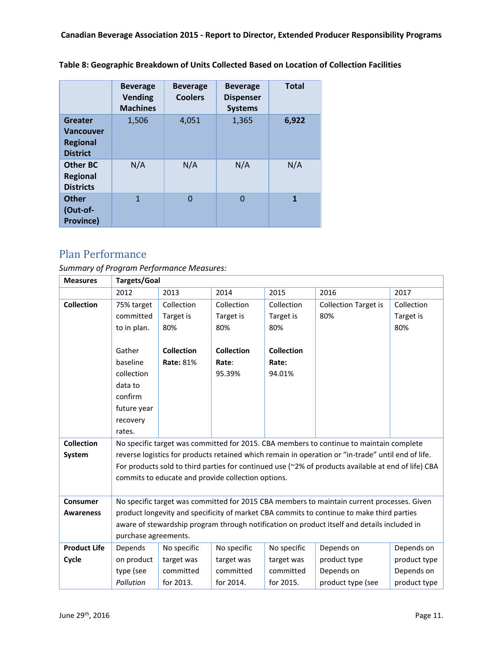|  |  | Table 8: Geographic Breakdown of Units Collected Based on Location of Collection Facilities |
|--|--|---------------------------------------------------------------------------------------------|
|--|--|---------------------------------------------------------------------------------------------|

|                                                                   | <b>Beverage</b><br><b>Vending</b><br><b>Machines</b> | <b>Beverage</b><br><b>Coolers</b> | <b>Beverage</b><br><b>Dispenser</b><br><b>Systems</b> | <b>Total</b> |
|-------------------------------------------------------------------|------------------------------------------------------|-----------------------------------|-------------------------------------------------------|--------------|
| Greater<br><b>Vancouver</b><br><b>Regional</b><br><b>District</b> | 1,506                                                | 4,051                             | 1,365                                                 | 6,922        |
| <b>Other BC</b><br><b>Regional</b><br><b>Districts</b>            | N/A                                                  | N/A                               | N/A                                                   | N/A          |
| <b>Other</b><br>(Out-of-<br><b>Province)</b>                      | 1                                                    | $\Omega$                          | 0                                                     | 1            |

## Plan Performance

## *Summary of Program Performance Measures:*

| <b>Measures</b>     | <b>Targets/Goal</b>                                                                         |                                                                                                    |                   |                   |                                                                                                     |              |  |  |
|---------------------|---------------------------------------------------------------------------------------------|----------------------------------------------------------------------------------------------------|-------------------|-------------------|-----------------------------------------------------------------------------------------------------|--------------|--|--|
|                     | 2012                                                                                        | 2013                                                                                               | 2014              | 2015              | 2016                                                                                                | 2017         |  |  |
| <b>Collection</b>   | 75% target                                                                                  | Collection                                                                                         | Collection        | Collection        | <b>Collection Target is</b>                                                                         | Collection   |  |  |
|                     | committed                                                                                   | Target is                                                                                          | Target is         | Target is         | 80%                                                                                                 | Target is    |  |  |
|                     | to in plan.                                                                                 | 80%                                                                                                | 80%               | 80%               |                                                                                                     | 80%          |  |  |
|                     |                                                                                             |                                                                                                    |                   |                   |                                                                                                     |              |  |  |
|                     | Gather                                                                                      | <b>Collection</b>                                                                                  | <b>Collection</b> | <b>Collection</b> |                                                                                                     |              |  |  |
|                     | baseline                                                                                    | <b>Rate: 81%</b>                                                                                   | Rate:             | Rate:             |                                                                                                     |              |  |  |
|                     | collection                                                                                  |                                                                                                    | 95.39%            | 94.01%            |                                                                                                     |              |  |  |
|                     | data to                                                                                     |                                                                                                    |                   |                   |                                                                                                     |              |  |  |
|                     | confirm                                                                                     |                                                                                                    |                   |                   |                                                                                                     |              |  |  |
|                     | future year                                                                                 |                                                                                                    |                   |                   |                                                                                                     |              |  |  |
|                     | recovery                                                                                    |                                                                                                    |                   |                   |                                                                                                     |              |  |  |
|                     | rates.                                                                                      |                                                                                                    |                   |                   |                                                                                                     |              |  |  |
| <b>Collection</b>   | No specific target was committed for 2015. CBA members to continue to maintain complete     |                                                                                                    |                   |                   |                                                                                                     |              |  |  |
| System              |                                                                                             | reverse logistics for products retained which remain in operation or "in-trade" until end of life. |                   |                   |                                                                                                     |              |  |  |
|                     |                                                                                             |                                                                                                    |                   |                   | For products sold to third parties for continued use (~2% of products available at end of life) CBA |              |  |  |
|                     |                                                                                             | commits to educate and provide collection options.                                                 |                   |                   |                                                                                                     |              |  |  |
|                     |                                                                                             |                                                                                                    |                   |                   |                                                                                                     |              |  |  |
| <b>Consumer</b>     | No specific target was committed for 2015 CBA members to maintain current processes. Given  |                                                                                                    |                   |                   |                                                                                                     |              |  |  |
| <b>Awareness</b>    | product longevity and specificity of market CBA commits to continue to make third parties   |                                                                                                    |                   |                   |                                                                                                     |              |  |  |
|                     | aware of stewardship program through notification on product itself and details included in |                                                                                                    |                   |                   |                                                                                                     |              |  |  |
|                     | purchase agreements.                                                                        |                                                                                                    |                   |                   |                                                                                                     |              |  |  |
| <b>Product Life</b> | Depends                                                                                     | No specific                                                                                        | No specific       | No specific       | Depends on                                                                                          | Depends on   |  |  |
| Cycle               | on product                                                                                  | target was                                                                                         | target was        | target was        | product type                                                                                        | product type |  |  |
|                     | type (see                                                                                   | committed                                                                                          | committed         | committed         | Depends on                                                                                          | Depends on   |  |  |
|                     | Pollution                                                                                   | for 2013.                                                                                          | for 2014.         | for 2015.         | product type (see                                                                                   | product type |  |  |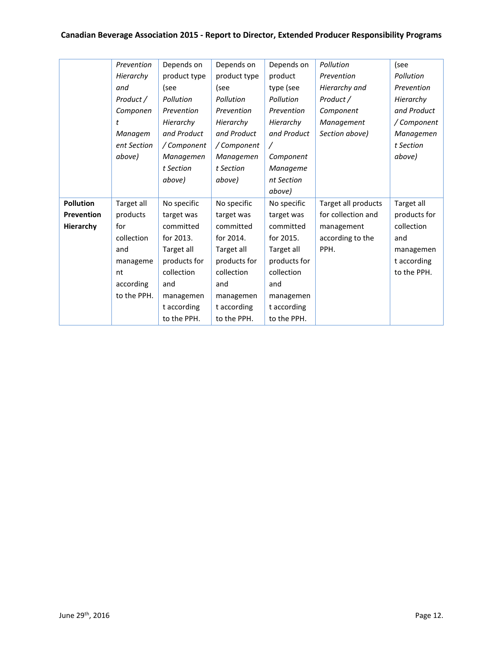## **Canadian Beverage Association 2015 - Report to Director, Extended Producer Responsibility Programs**

<span id="page-11-0"></span>

|                  | Prevention  | Depends on   | Depends on   | Depends on   | Pollution           | (see         |
|------------------|-------------|--------------|--------------|--------------|---------------------|--------------|
|                  | Hierarchy   | product type | product type | product      | Prevention          | Pollution    |
|                  | and         | (see         | (see         | type (see    | Hierarchy and       | Prevention   |
|                  | Product /   | Pollution    | Pollution    | Pollution    | Product /           | Hierarchy    |
|                  | Componen    | Prevention   | Prevention   | Prevention   | Component           | and Product  |
|                  | t           | Hierarchy    | Hierarchy    | Hierarchy    | Management          | / Component  |
|                  | Managem     | and Product  | and Product  | and Product  | Section above)      | Managemen    |
|                  | ent Section | / Component  | / Component  | $\prime$     |                     | t Section    |
|                  | above)      | Managemen    | Managemen    | Component    |                     | above)       |
|                  |             | t Section    | t Section    | Manageme     |                     |              |
|                  |             | above)       | above)       | nt Section   |                     |              |
|                  |             |              |              | above)       |                     |              |
| <b>Pollution</b> | Target all  | No specific  | No specific  | No specific  | Target all products | Target all   |
| Prevention       | products    | target was   | target was   | target was   | for collection and  | products for |
| Hierarchy        | for         | committed    | committed    | committed    | management          | collection   |
|                  | collection  | for 2013.    | for 2014.    | for 2015.    | according to the    | and          |
|                  | and         | Target all   | Target all   | Target all   | PPH.                | managemen    |
|                  | manageme    | products for | products for | products for |                     | t according  |
|                  | nt          | collection   | collection   | collection   |                     | to the PPH.  |
|                  | according   | and          | and          | and          |                     |              |
|                  | to the PPH. | managemen    | managemen    | managemen    |                     |              |
|                  |             | t according  | t according  | t according  |                     |              |
|                  |             | to the PPH.  | to the PPH.  | to the PPH.  |                     |              |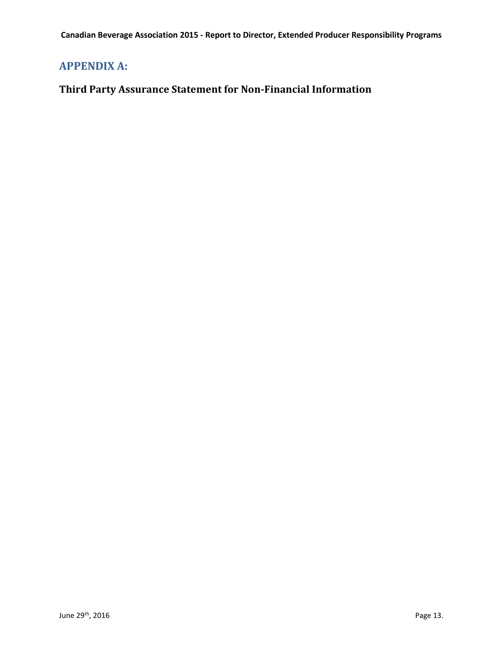## **APPENDIX A:**

## <span id="page-12-0"></span>**Third Party Assurance Statement for Non-Financial Information**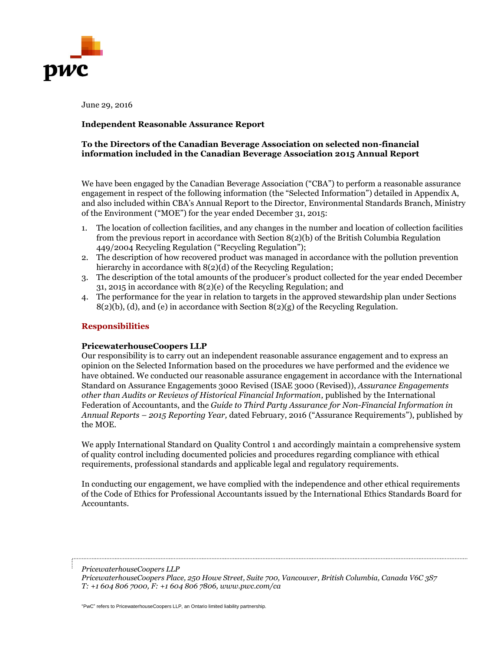

June 29, 2016

#### **Independent Reasonable Assurance Report**

#### **To the Directors of the Canadian Beverage Association on selected non-financial information included in the Canadian Beverage Association 2015 Annual Report**

We have been engaged by the Canadian Beverage Association ("CBA") to perform a reasonable assurance engagement in respect of the following information (the "Selected Information") detailed in Appendix A, and also included within CBA's Annual Report to the Director, Environmental Standards Branch, Ministry of the Environment ("MOE") for the year ended December 31, 2015:

- 1. The location of collection facilities, and any changes in the number and location of collection facilities from the previous report in accordance with Section 8(2)(b) of the British Columbia Regulation 449/2004 Recycling Regulation ("Recycling Regulation");
- 2. The description of how recovered product was managed in accordance with the pollution prevention hierarchy in accordance with 8(2)(d) of the Recycling Regulation;
- 3. The description of the total amounts of the producer's product collected for the year ended December 31, 2015 in accordance with 8(2)(e) of the Recycling Regulation; and
- 4. The performance for the year in relation to targets in the approved stewardship plan under Sections 8(2)(b), (d), and (e) in accordance with Section 8(2)(g) of the Recycling Regulation.

#### **Responsibilities**

#### **PricewaterhouseCoopers LLP**

Our responsibility is to carry out an independent reasonable assurance engagement and to express an opinion on the Selected Information based on the procedures we have performed and the evidence we have obtained. We conducted our reasonable assurance engagement in accordance with the International Standard on Assurance Engagements 3000 Revised (ISAE 3000 (Revised)), *Assurance Engagements other than Audits or Reviews of Historical Financial Information,* published by the International Federation of Accountants, and the *Guide to Third Party Assurance for Non-Financial Information in Annual Reports – 2015 Reporting Year,* dated February, 2016 ("Assurance Requirements"), published by the MOE.

We apply International Standard on Quality Control 1 and accordingly maintain a comprehensive system of quality control including documented policies and procedures regarding compliance with ethical requirements, professional standards and applicable legal and regulatory requirements.

In conducting our engagement, we have complied with the independence and other ethical requirements of the Code of Ethics for Professional Accountants issued by the International Ethics Standards Board for Accountants.

*PricewaterhouseCoopers LLP*

*PricewaterhouseCoopers Place, 250 Howe Street, Suite 700, Vancouver, British Columbia, Canada V6C 3S7 T: +1 604 806 7000, F: +1 604 806 7806, www.pwc.com/ca*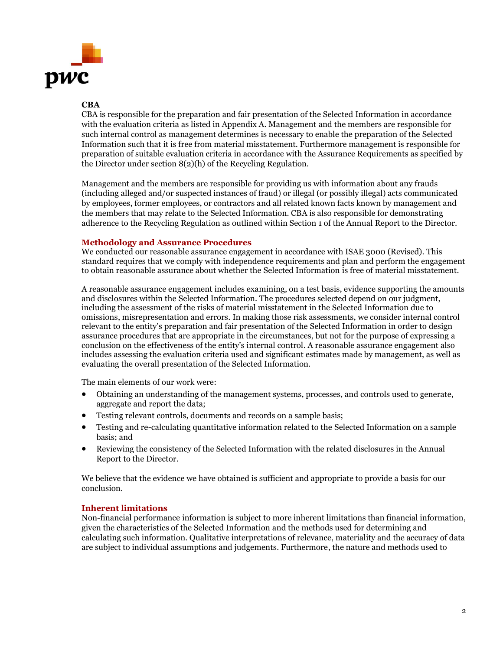

#### **CBA**

CBA is responsible for the preparation and fair presentation of the Selected Information in accordance with the evaluation criteria as listed in Appendix A. Management and the members are responsible for such internal control as management determines is necessary to enable the preparation of the Selected Information such that it is free from material misstatement. Furthermore management is responsible for preparation of suitable evaluation criteria in accordance with the Assurance Requirements as specified by the Director under section 8(2)(h) of the Recycling Regulation.

Management and the members are responsible for providing us with information about any frauds (including alleged and/or suspected instances of fraud) or illegal (or possibly illegal) acts communicated by employees, former employees, or contractors and all related known facts known by management and the members that may relate to the Selected Information. CBA is also responsible for demonstrating adherence to the Recycling Regulation as outlined within Section 1 of the Annual Report to the Director.

#### **Methodology and Assurance Procedures**

We conducted our reasonable assurance engagement in accordance with ISAE 3000 (Revised). This standard requires that we comply with independence requirements and plan and perform the engagement to obtain reasonable assurance about whether the Selected Information is free of material misstatement.

A reasonable assurance engagement includes examining, on a test basis, evidence supporting the amounts and disclosures within the Selected Information. The procedures selected depend on our judgment, including the assessment of the risks of material misstatement in the Selected Information due to omissions, misrepresentation and errors. In making those risk assessments, we consider internal control relevant to the entity's preparation and fair presentation of the Selected Information in order to design assurance procedures that are appropriate in the circumstances, but not for the purpose of expressing a conclusion on the effectiveness of the entity's internal control. A reasonable assurance engagement also includes assessing the evaluation criteria used and significant estimates made by management, as well as evaluating the overall presentation of the Selected Information.

The main elements of our work were:

- Obtaining an understanding of the management systems, processes, and controls used to generate, aggregate and report the data;
- Testing relevant controls, documents and records on a sample basis;
- Testing and re-calculating quantitative information related to the Selected Information on a sample basis; and
- Reviewing the consistency of the Selected Information with the related disclosures in the Annual Report to the Director.

We believe that the evidence we have obtained is sufficient and appropriate to provide a basis for our conclusion.

#### **Inherent limitations**

Non-financial performance information is subject to more inherent limitations than financial information, given the characteristics of the Selected Information and the methods used for determining and calculating such information. Qualitative interpretations of relevance, materiality and the accuracy of data are subject to individual assumptions and judgements. Furthermore, the nature and methods used to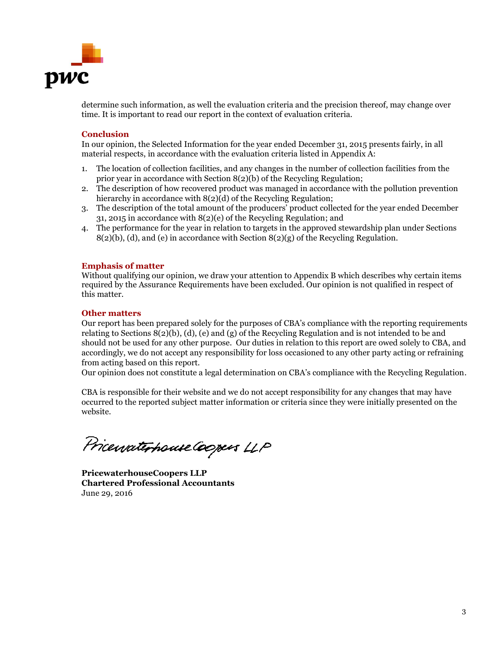

determine such information, as well the evaluation criteria and the precision thereof, may change over time. It is important to read our report in the context of evaluation criteria.

#### **Conclusion**

In our opinion, the Selected Information for the year ended December 31, 2015 presents fairly, in all material respects, in accordance with the evaluation criteria listed in Appendix A:

- 1. The location of collection facilities, and any changes in the number of collection facilities from the prior year in accordance with Section 8(2)(b) of the Recycling Regulation;
- 2. The description of how recovered product was managed in accordance with the pollution prevention hierarchy in accordance with 8(2)(d) of the Recycling Regulation;
- 3. The description of the total amount of the producers' product collected for the year ended December 31, 2015 in accordance with 8(2)(e) of the Recycling Regulation; and
- 4. The performance for the year in relation to targets in the approved stewardship plan under Sections  $8(2)(b)$ , (d), and (e) in accordance with Section  $8(2)(g)$  of the Recycling Regulation.

#### **Emphasis of matter**

Without qualifying our opinion, we draw your attention to Appendix B which describes why certain items required by the Assurance Requirements have been excluded. Our opinion is not qualified in respect of this matter.

#### **Other matters**

Our report has been prepared solely for the purposes of CBA's compliance with the reporting requirements relating to Sections 8(2)(b), (d), (e) and (g) of the Recycling Regulation and is not intended to be and should not be used for any other purpose. Our duties in relation to this report are owed solely to CBA, and accordingly, we do not accept any responsibility for loss occasioned to any other party acting or refraining from acting based on this report.

Our opinion does not constitute a legal determination on CBA's compliance with the Recycling Regulation.

CBA is responsible for their website and we do not accept responsibility for any changes that may have occurred to the reported subject matter information or criteria since they were initially presented on the website.

Pricewaterhouse Coopers LLP

**PricewaterhouseCoopers LLP Chartered Professional Accountants** June 29, 2016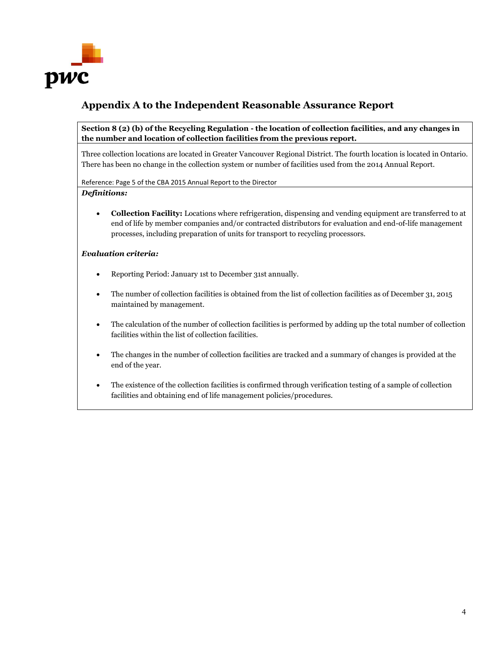

## **Appendix A to the Independent Reasonable Assurance Report**

**Section 8 (2) (b) of the Recycling Regulation - the location of collection facilities, and any changes in the number and location of collection facilities from the previous report.**

Three collection locations are located in Greater Vancouver Regional District. The fourth location is located in Ontario. There has been no change in the collection system or number of facilities used from the 2014 Annual Report.

Reference: Page 5 of the CBA 2015 Annual Report to the Director

#### *Definitions:*

 **Collection Facility:** Locations where refrigeration, dispensing and vending equipment are transferred to at end of life by member companies and/or contracted distributors for evaluation and end-of-life management processes, including preparation of units for transport to recycling processors.

#### *Evaluation criteria:*

- Reporting Period: January 1st to December 31st annually.
- The number of collection facilities is obtained from the list of collection facilities as of December 31, 2015 maintained by management.
- The calculation of the number of collection facilities is performed by adding up the total number of collection facilities within the list of collection facilities.
- The changes in the number of collection facilities are tracked and a summary of changes is provided at the end of the year.
- The existence of the collection facilities is confirmed through verification testing of a sample of collection facilities and obtaining end of life management policies/procedures.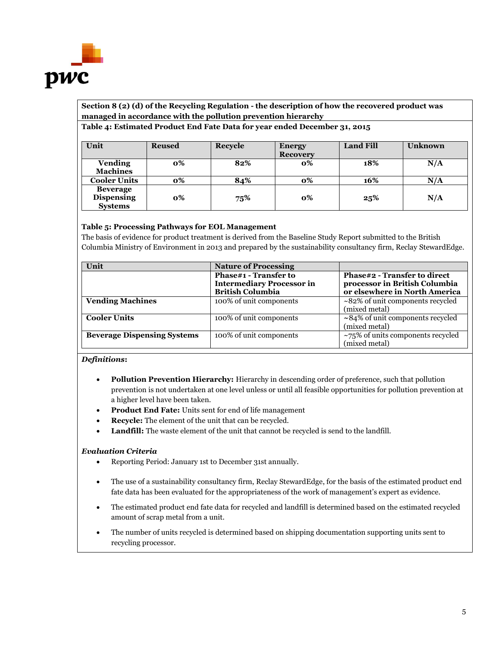

## **Section 8 (2) (d) of the Recycling Regulation - the description of how the recovered product was managed in accordance with the pollution prevention hierarchy**

#### **Table 4: Estimated Product End Fate Data for year ended December 31, 2015**

| Unit                                                   | <b>Reused</b> | Recycle | <b>Energy</b><br><b>Recovery</b> | <b>Land Fill</b> | <b>Unknown</b> |
|--------------------------------------------------------|---------------|---------|----------------------------------|------------------|----------------|
| <b>Vending</b><br><b>Machines</b>                      | 0%            | 82%     | 0%                               | 18%              | N/A            |
| <b>Cooler Units</b>                                    | 0%            | 84%     | о%                               | 16%              | N/A            |
| <b>Beverage</b><br><b>Dispensing</b><br><b>Systems</b> | 0%            | 75%     | 0%                               | 25%              | N/A            |

#### **Table 5: Processing Pathways for EOL Management**

The basis of evidence for product treatment is derived from the Baseline Study Report submitted to the British Columbia Ministry of Environment in 2013 and prepared by the sustainability consultancy firm, Reclay StewardEdge.

| Unit                               | <b>Nature of Processing</b>                                                          |                                                                                                |
|------------------------------------|--------------------------------------------------------------------------------------|------------------------------------------------------------------------------------------------|
|                                    | Phase#1 - Transfer to<br><b>Intermediary Processor in</b><br><b>British Columbia</b> | Phase#2 - Transfer to direct<br>processor in British Columbia<br>or elsewhere in North America |
| <b>Vending Machines</b>            | 100% of unit components                                                              | $\sim$ 82% of unit components recycled<br>(mixed metal)                                        |
| <b>Cooler Units</b>                | 100% of unit components                                                              | $\sim$ 84% of unit components recycled<br>(mixed metal)                                        |
| <b>Beverage Dispensing Systems</b> | 100% of unit components                                                              | $~1$ $~75\%$ of units components recycled<br>(mixed metal)                                     |

#### *Definitions***:**

- **Pollution Prevention Hierarchy:** Hierarchy in descending order of preference, such that pollution prevention is not undertaken at one level unless or until all feasible opportunities for pollution prevention at a higher level have been taken.
- **Product End Fate:** Units sent for end of life management
- **Recycle:** The element of the unit that can be recycled.
- **Landfill:** The waste element of the unit that cannot be recycled is send to the landfill.

#### *Evaluation Criteria*

- Reporting Period: January 1st to December 31st annually.
- The use of a sustainability consultancy firm, Reclay StewardEdge, for the basis of the estimated product end fate data has been evaluated for the appropriateness of the work of management's expert as evidence.
- The estimated product end fate data for recycled and landfill is determined based on the estimated recycled amount of scrap metal from a unit.
- The number of units recycled is determined based on shipping documentation supporting units sent to recycling processor.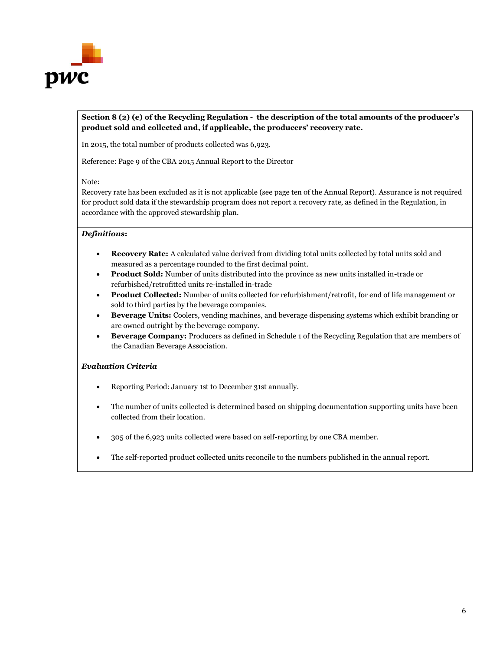

#### **Section 8 (2) (e) of the Recycling Regulation - the description of the total amounts of the producer's product sold and collected and, if applicable, the producers' recovery rate.**

In 2015, the total number of products collected was 6,923.

Reference: Page 9 of the CBA 2015 Annual Report to the Director

Note:

Recovery rate has been excluded as it is not applicable (see page ten of the Annual Report). Assurance is not required for product sold data if the stewardship program does not report a recovery rate, as defined in the Regulation, in accordance with the approved stewardship plan.

#### *Definitions***:**

- **Recovery Rate:** A calculated value derived from dividing total units collected by total units sold and measured as a percentage rounded to the first decimal point.
- **Product Sold:** Number of units distributed into the province as new units installed in-trade or refurbished/retrofitted units re-installed in-trade
- **Product Collected:** Number of units collected for refurbishment/retrofit, for end of life management or sold to third parties by the beverage companies.
- **Beverage Units:** Coolers, vending machines, and beverage dispensing systems which exhibit branding or are owned outright by the beverage company.
- **Beverage Company:** Producers as defined in Schedule 1 of the Recycling Regulation that are members of the Canadian Beverage Association.

#### *Evaluation Criteria*

- Reporting Period: January 1st to December 31st annually.
- The number of units collected is determined based on shipping documentation supporting units have been collected from their location.
- 305 of the 6,923 units collected were based on self-reporting by one CBA member.
- The self-reported product collected units reconcile to the numbers published in the annual report.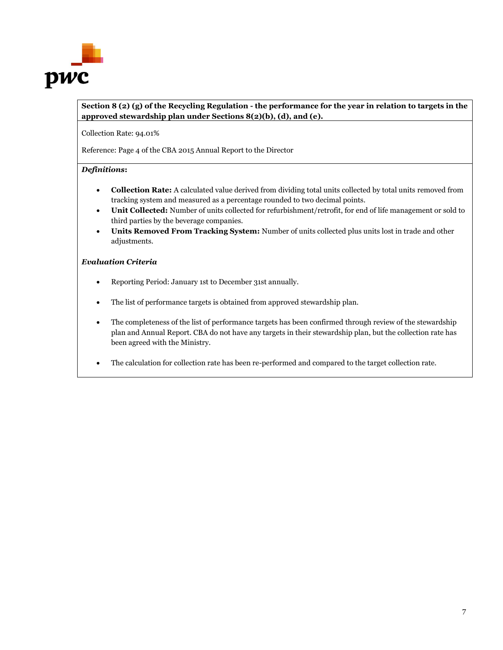

#### **Section 8 (2) (g) of the Recycling Regulation - the performance for the year in relation to targets in the approved stewardship plan under Sections 8(2)(b), (d), and (e).**

Collection Rate: 94.01%

Reference: Page 4 of the CBA 2015 Annual Report to the Director

#### *Definitions***:**

- **Collection Rate:** A calculated value derived from dividing total units collected by total units removed from tracking system and measured as a percentage rounded to two decimal points.
- **Unit Collected:** Number of units collected for refurbishment/retrofit, for end of life management or sold to third parties by the beverage companies.
- **Units Removed From Tracking System:** Number of units collected plus units lost in trade and other adjustments.

#### *Evaluation Criteria*

- Reporting Period: January 1st to December 31st annually.
- The list of performance targets is obtained from approved stewardship plan.
- The completeness of the list of performance targets has been confirmed through review of the stewardship plan and Annual Report. CBA do not have any targets in their stewardship plan, but the collection rate has been agreed with the Ministry.
- The calculation for collection rate has been re-performed and compared to the target collection rate.